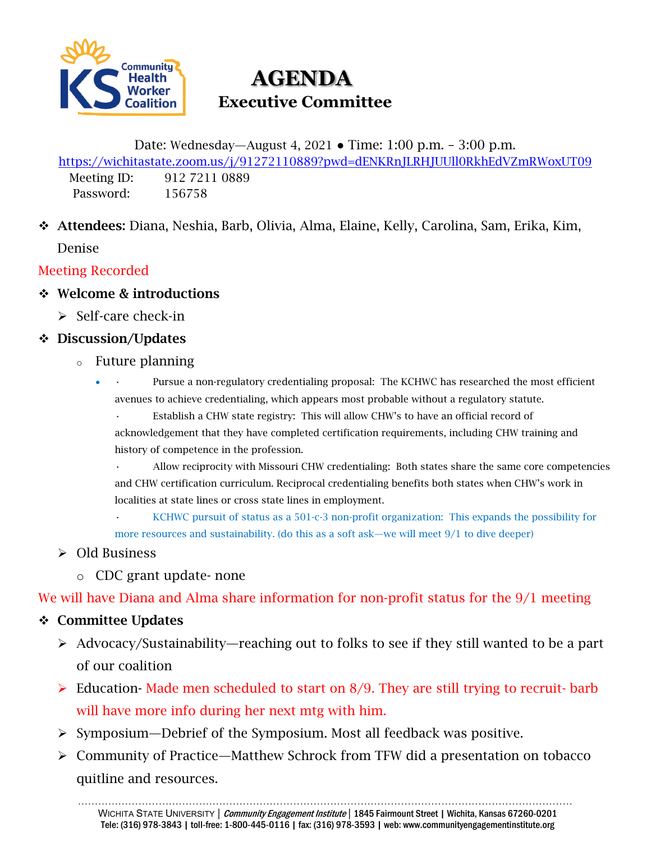

# **AGENDA Executive Committee**

Date: Wednesday—August 4, 2021 ● Time: 1:00 p.m. – 3:00 p.m. <https://wichitastate.zoom.us/j/91272110889?pwd=dENKRnJLRHJUUll0RkhEdVZmRWoxUT09> Meeting ID: 912 7211 0889 Password: 156758

 Attendees: Diana, Neshia, Barb, Olivia, Alma, Elaine, Kelly, Carolina, Sam, Erika, Kim, Denise

Meeting Recorded

- ❖ Welcome & introductions
	- $\geq$  Self-care check-in

## Discussion/Updates

- <sup>o</sup> Future planning
	- • Pursue a non-regulatory credentialing proposal: The KCHWC has researched the most efficient avenues to achieve credentialing, which appears most probable without a regulatory statute.

Establish a CHW state registry: This will allow CHW's to have an official record of acknowledgement that they have completed certification requirements, including CHW training and history of competence in the profession.

• Allow reciprocity with Missouri CHW credentialing: Both states share the same core competencies and CHW certification curriculum. Reciprocal credentialing benefits both states when CHW's work in localities at state lines or cross state lines in employment.

• KCHWC pursuit of status as a 501-c-3 non-profit organization: This expands the possibility for more resources and sustainability. (do this as a soft ask—we will meet 9/1 to dive deeper)

### Old Business

o CDC grant update- none

We will have Diana and Alma share information for non-profit status for the 9/1 meeting

### Committee Updates

- Advocacy/Sustainability—reaching out to folks to see if they still wanted to be a part of our coalition
- $\triangleright$  Education-Made men scheduled to start on 8/9. They are still trying to recruit-barb will have more info during her next mtg with him.
- $\triangleright$  Symposium—Debrief of the Symposium. Most all feedback was positive.
- Community of Practice—Matthew Schrock from TFW did a presentation on tobacco quitline and resources.